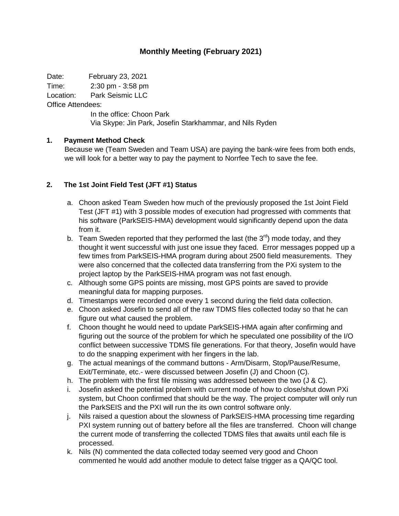## **Monthly Meeting (February 2021)**

Date: February 23, 2021 Time: 2:30 pm - 3:58 pm

Location: Park Seismic LLC

Office Attendees:

In the office: Choon Park Via Skype: Jin Park, Josefin Starkhammar, and Nils Ryden

## **1. Payment Method Check**

Because we (Team Sweden and Team USA) are paying the bank-wire fees from both ends, we will look for a better way to pay the payment to Norrfee Tech to save the fee.

## **2. The 1st Joint Field Test (JFT #1) Status**

- a. Choon asked Team Sweden how much of the previously proposed the 1st Joint Field Test (JFT #1) with 3 possible modes of execution had progressed with comments that his software (ParkSEIS-HMA) development would significantly depend upon the data from it.
- b. Team Sweden reported that they performed the last (the  $3<sup>rd</sup>$ ) mode today, and they thought it went successful with just one issue they faced. Error messages popped up a few times from ParkSEIS-HMA program during about 2500 field measurements. They were also concerned that the collected data transferring from the PXi system to the project laptop by the ParkSEIS-HMA program was not fast enough.
- c. Although some GPS points are missing, most GPS points are saved to provide meaningful data for mapping purposes.
- d. Timestamps were recorded once every 1 second during the field data collection.
- e. Choon asked Josefin to send all of the raw TDMS files collected today so that he can figure out what caused the problem.
- f. Choon thought he would need to update ParkSEIS-HMA again after confirming and figuring out the source of the problem for which he speculated one possibility of the I/O conflict between successive TDMS file generations. For that theory, Josefin would have to do the snapping experiment with her fingers in the lab.
- g. The actual meanings of the command buttons Arm/Disarm, Stop/Pause/Resume, Exit/Terminate, etc.- were discussed between Josefin (J) and Choon (C).
- h. The problem with the first file missing was addressed between the two (J & C).
- i. Josefin asked the potential problem with current mode of how to close/shut down PXi system, but Choon confirmed that should be the way. The project computer will only run the ParkSEIS and the PXI will run the its own control software only.
- j. Nils raised a question about the slowness of ParkSEIS-HMA processing time regarding PXI system running out of battery before all the files are transferred. Choon will change the current mode of transferring the collected TDMS files that awaits until each file is processed.
- k. Nils (N) commented the data collected today seemed very good and Choon commented he would add another module to detect false trigger as a QA/QC tool.